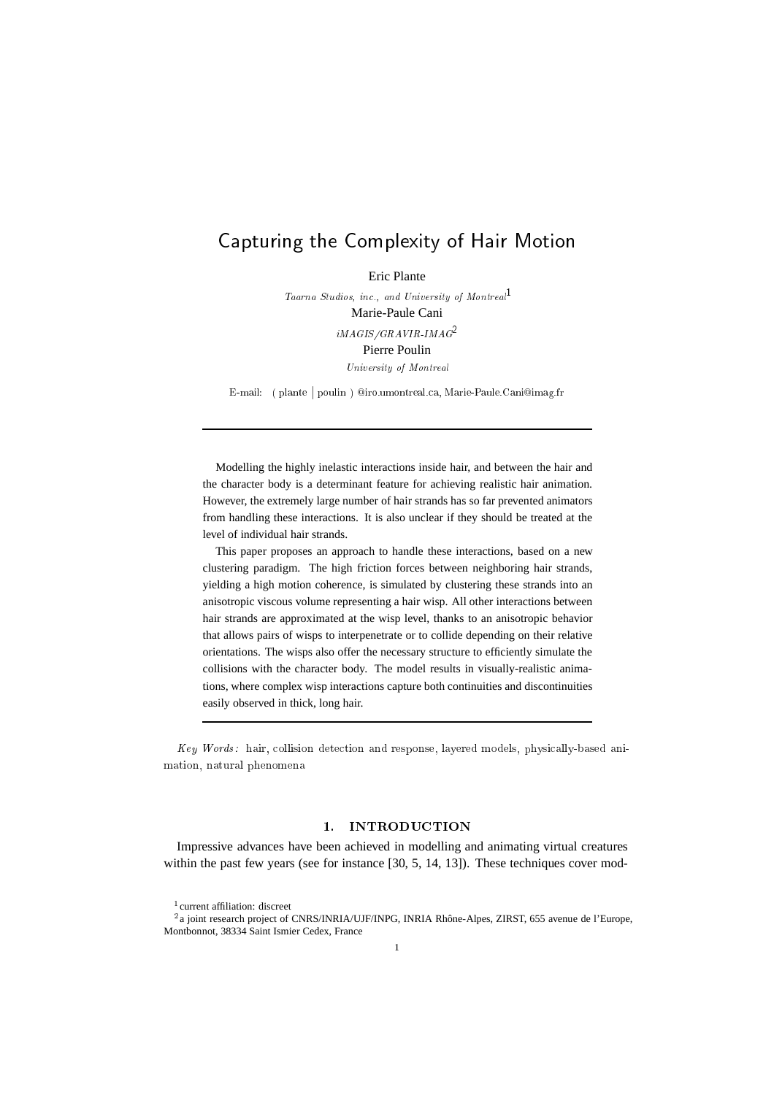# Capturing the Complexity of Hair Motion

Eric Plante

Taarna Studios, inc., and University of Montreal<sup>1</sup> Marie-Paule Cani iMAGIS/GRAVIR-IMAG2 Pierre Poulin

University of Montreal

E-mail: ( plante <sup>j</sup> poulin ) iro.umontreal.
a, Marie-Paule.Caniimag.fr

Modelling the highly inelastic interactions inside hair, and between the hair and the character body is a determinant feature for achieving realistic hair animation. However, the extremely large number of hair strands has so far prevented animators from handling these interactions. It is also unclear if they should be treated at the level of individual hair strands.

This paper proposes an approach to handle these interactions, based on a new clustering paradigm. The high friction forces between neighboring hair strands, yielding a high motion coherence, is simulated by clustering these strands into an anisotropic viscous volume representing a hair wisp. All other interactions between hair strands are approximated at the wisp level, thanks to an anisotropic behavior that allows pairs of wisps to interpenetrate or to collide depending on their relative orientations. The wisps also offer the necessary structure to efficiently simulate the collisions with the character body. The model results in visually-realistic animations, where complex wisp interactions capture both continuities and discontinuities easily observed in thick, long hair.

Key Words: hair, collision detection and response, layered models, physically-based animation, natural phenomena

### 1. INTRODUCTION

Impressive advances have been achieved in modelling and animating virtual creatures within the past few years (see for instance [30, 5, 14, 13]). These techniques cover mod-

<sup>1</sup> current affiliation: discreet

<sup>2</sup> a joint research project of CNRS/INRIA/UJF/INPG, INRIA Rhône-Alpes, ZIRST, 655 avenue de l'Europe, Montbonnot, 38334 Saint Ismier Cedex, France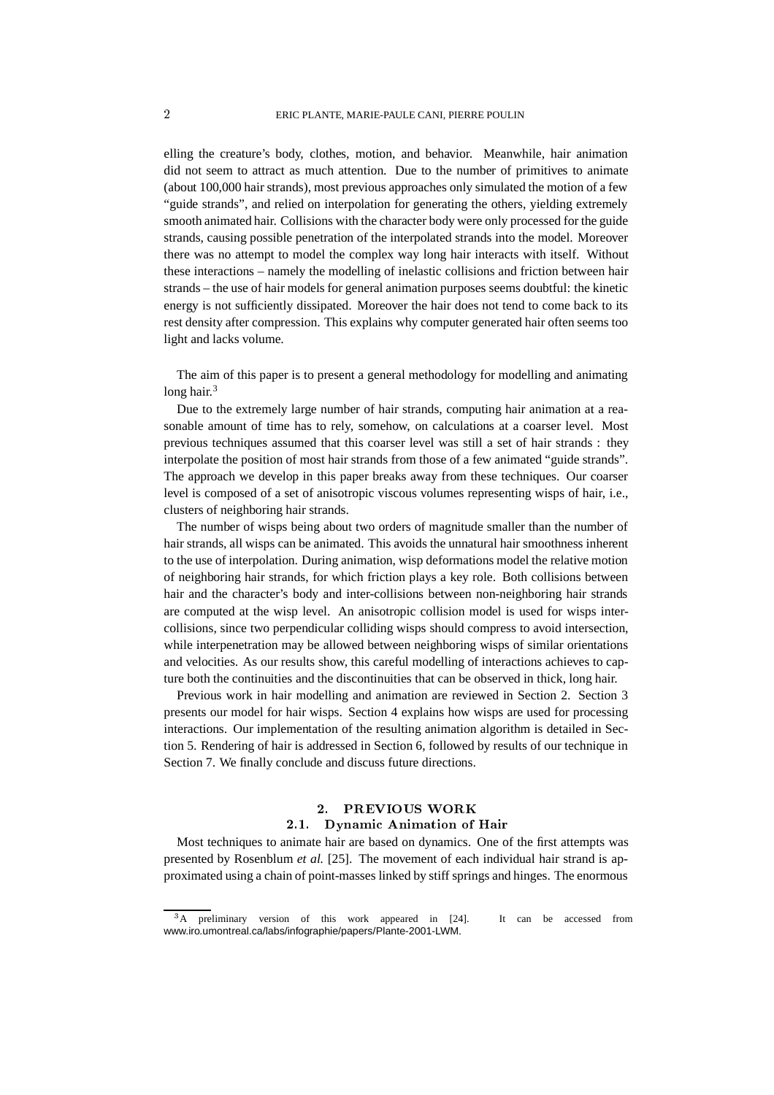elling the creature's body, clothes, motion, and behavior. Meanwhile, hair animation did not seem to attract as much attention. Due to the number of primitives to animate (about 100,000 hair strands), most previous approaches only simulated the motion of a few "guide strands", and relied on interpolation for generating the others, yielding extremely smooth animated hair. Collisions with the character body were only processed for the guide strands, causing possible penetration of the interpolated strands into the model. Moreover there was no attempt to model the complex way long hair interacts with itself. Without these interactions – namely the modelling of inelastic collisions and friction between hair strands – the use of hair models for general animation purposes seems doubtful: the kinetic energy is not sufficiently dissipated. Moreover the hair does not tend to come back to its rest density after compression. This explains why computer generated hair often seems too light and lacks volume.

The aim of this paper is to present a general methodology for modelling and animating long hair. $3$ 

Due to the extremely large number of hair strands, computing hair animation at a reasonable amount of time has to rely, somehow, on calculations at a coarser level. Most previous techniques assumed that this coarser level was still a set of hair strands : they interpolate the position of most hair strands from those of a few animated "guide strands". The approach we develop in this paper breaks away from these techniques. Our coarser level is composed of a set of anisotropic viscous volumes representing wisps of hair, i.e., clusters of neighboring hair strands.

The number of wisps being about two orders of magnitude smaller than the number of hair strands, all wisps can be animated. This avoids the unnatural hair smoothness inherent to the use of interpolation. During animation, wisp deformations model the relative motion of neighboring hair strands, for which friction plays a key role. Both collisions between hair and the character's body and inter-collisions between non-neighboring hair strands are computed at the wisp level. An anisotropic collision model is used for wisps intercollisions, since two perpendicular colliding wisps should compress to avoid intersection, while interpenetration may be allowed between neighboring wisps of similar orientations and velocities. As our results show, this careful modelling of interactions achieves to capture both the continuities and the discontinuities that can be observed in thick, long hair.

Previous work in hair modelling and animation are reviewed in Section 2. Section 3 presents our model for hair wisps. Section 4 explains how wisps are used for processing interactions. Our implementation of the resulting animation algorithm is detailed in Section 5. Rendering of hair is addressed in Section 6, followed by results of our technique in Section 7. We finally conclude and discuss future directions.

# 2. PREVIOUS WORK 2.1. Dynami Animation of Hair

Most techniques to animate hair are based on dynamics. One of the first attempts was presented by Rosenblum *et al.* [25]. The movement of each individual hair strand is approximated using a chain of point-masses linked by stiff springs and hinges. The enormous

<sup>3</sup> A preliminary version of this work appeared in [24]. It can be accessed from www.iro.umontreal.ca/labs/infographie/papers/Plante-2001-LWM.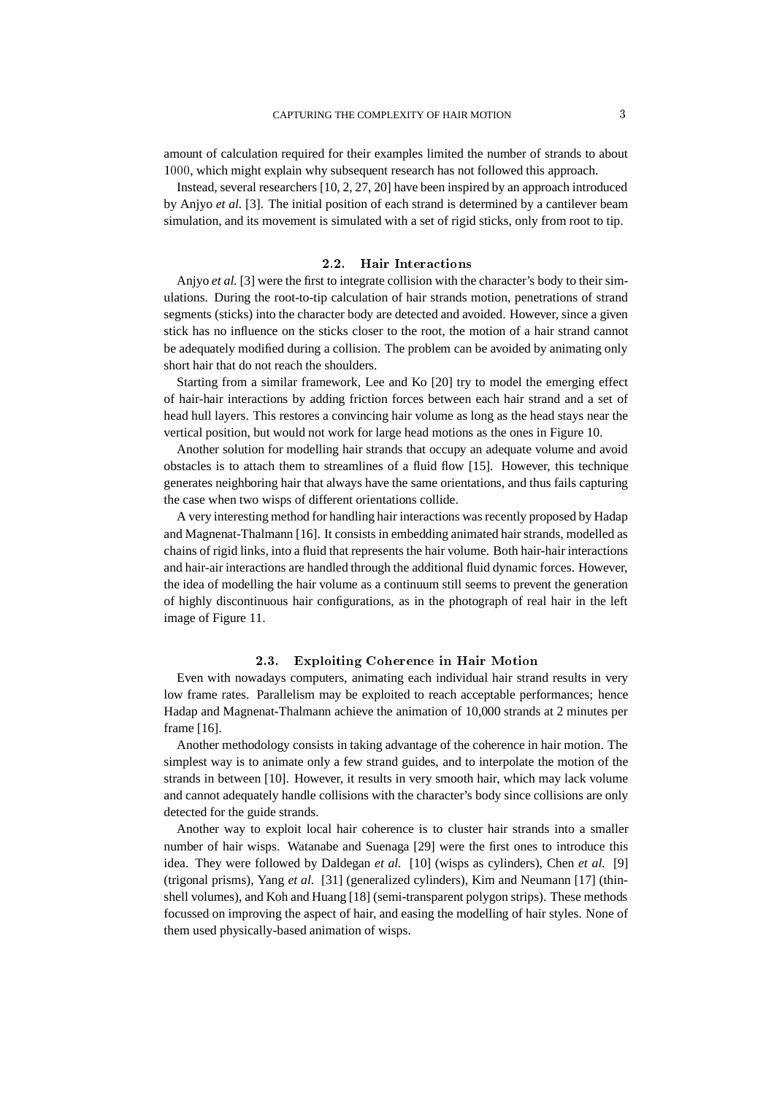amount of calculation required for their examples limited the number of strands to about <sup>1000</sup>, which might explain why subsequent research has not followed this approach.

Instead, several researchers [10, 2, 27, 20] have been inspired by an approach introduced by Anjyo *et al.* [3]. The initial position of each strand is determined by a cantilever beam simulation, and its movement is simulated with a set of rigid sticks, only from root to tip.

# 2.2. Hair Intera
tions

Anjyo *et al.* [3] were the first to integrate collision with the character's body to their simulations. During the root-to-tip calculation of hair strands motion, penetrations of strand segments (sticks) into the character body are detected and avoided. However, since a given stick has no influence on the sticks closer to the root, the motion of a hair strand cannot be adequately modified during a collision. The problem can be avoided by animating only short hair that do not reach the shoulders.

Starting from a similar framework, Lee and Ko [20] try to model the emerging effect of hair-hair interactions by adding friction forces between each hair strand and a set of head hull layers. This restores a convincing hair volume as long as the head stays near the vertical position, but would not work for large head motions as the ones in Figure 10.

Another solution for modelling hair strands that occupy an adequate volume and avoid obstacles is to attach them to streamlines of a fluid flow [15]. However, this technique generates neighboring hair that always have the same orientations, and thus fails capturing the case when two wisps of different orientations collide.

A very interesting method for handling hair interactions was recently proposed by Hadap and Magnenat-Thalmann [16]. It consists in embedding animated hair strands, modelled as chains of rigid links, into a fluid that represents the hair volume. Both hair-hair interactions and hair-air interactions are handled through the additional fluid dynamic forces. However, the idea of modelling the hair volume as a continuum still seems to prevent the generation of highly discontinuous hair configurations, as in the photograph of real hair in the left image of Figure 11.

# 2.3. Exploiting Coheren
e in Hair Motion

Even with nowadays computers, animating each individual hair strand results in very low frame rates. Parallelism may be exploited to reach acceptable performances; hence Hadap and Magnenat-Thalmann achieve the animation of 10,000 strands at 2 minutes per frame [16].

Another methodology consists in taking advantage of the coherence in hair motion. The simplest way is to animate only a few strand guides, and to interpolate the motion of the strands in between [10]. However, it results in very smooth hair, which may lack volume and cannot adequately handle collisions with the character's body since collisions are only detected for the guide strands.

Another way to exploit local hair coherence is to cluster hair strands into a smaller number of hair wisps. Watanabe and Suenaga [29] were the first ones to introduce this idea. They were followed by Daldegan *et al.* [10] (wisps as cylinders), Chen *et al.* [9] (trigonal prisms), Yang *et al.* [31] (generalized cylinders), Kim and Neumann [17] (thinshell volumes), and Koh and Huang [18] (semi-transparent polygon strips). These methods focussed on improving the aspect of hair, and easing the modelling of hair styles. None of them used physically-based animation of wisps.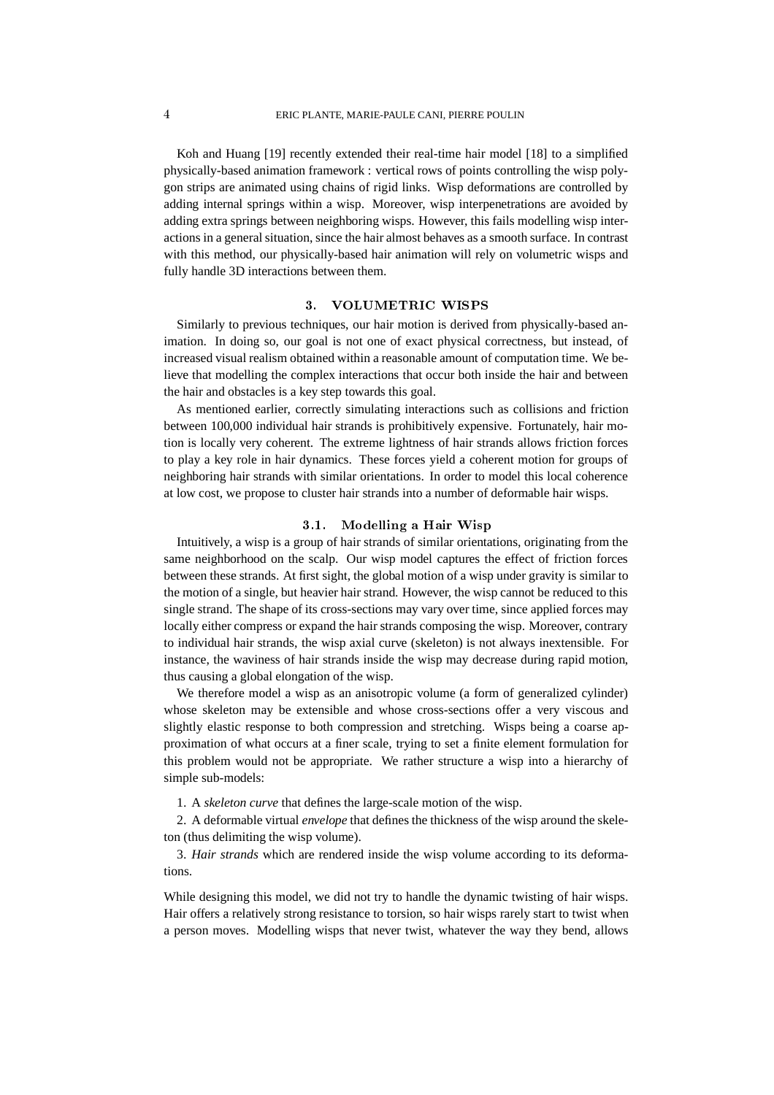Koh and Huang [19] recently extended their real-time hair model [18] to a simplified physically-based animation framework : vertical rows of points controlling the wisp polygon strips are animated using chains of rigid links. Wisp deformations are controlled by adding internal springs within a wisp. Moreover, wisp interpenetrations are avoided by adding extra springs between neighboring wisps. However, this fails modelling wisp interactions in a general situation, since the hair almost behaves as a smooth surface. In contrast with this method, our physically-based hair animation will rely on volumetric wisps and fully handle 3D interactions between them.

# 3. VOLUMETRIC WISPS

Similarly to previous techniques, our hair motion is derived from physically-based animation. In doing so, our goal is not one of exact physical correctness, but instead, of increased visual realism obtained within a reasonable amount of computation time. We believe that modelling the complex interactions that occur both inside the hair and between the hair and obstacles is a key step towards this goal.

As mentioned earlier, correctly simulating interactions such as collisions and friction between 100,000 individual hair strands is prohibitively expensive. Fortunately, hair motion is locally very coherent. The extreme lightness of hair strands allows friction forces to play a key role in hair dynamics. These forces yield a coherent motion for groups of neighboring hair strands with similar orientations. In order to model this local coherence at low cost, we propose to cluster hair strands into a number of deformable hair wisps.

### 3.1. Modelling a Hair Wisp

Intuitively, a wisp is a group of hair strands of similar orientations, originating from the same neighborhood on the scalp. Our wisp model captures the effect of friction forces between these strands. At first sight, the global motion of a wisp under gravity is similar to the motion of a single, but heavier hair strand. However, the wisp cannot be reduced to this single strand. The shape of its cross-sections may vary over time, since applied forces may locally either compress or expand the hair strands composing the wisp. Moreover, contrary to individual hair strands, the wisp axial curve (skeleton) is not always inextensible. For instance, the waviness of hair strands inside the wisp may decrease during rapid motion, thus causing a global elongation of the wisp.

We therefore model a wisp as an anisotropic volume (a form of generalized cylinder) whose skeleton may be extensible and whose cross-sections offer a very viscous and slightly elastic response to both compression and stretching. Wisps being a coarse approximation of what occurs at a finer scale, trying to set a finite element formulation for this problem would not be appropriate. We rather structure a wisp into a hierarchy of simple sub-models:

1. A *skeleton curve* that defines the large-scale motion of the wisp.

2. A deformable virtual *envelope* that defines the thickness of the wisp around the skeleton (thus delimiting the wisp volume).

3. *Hair strands* which are rendered inside the wisp volume according to its deformations.

While designing this model, we did not try to handle the dynamic twisting of hair wisps. Hair offers a relatively strong resistance to torsion, so hair wisps rarely start to twist when a person moves. Modelling wisps that never twist, whatever the way they bend, allows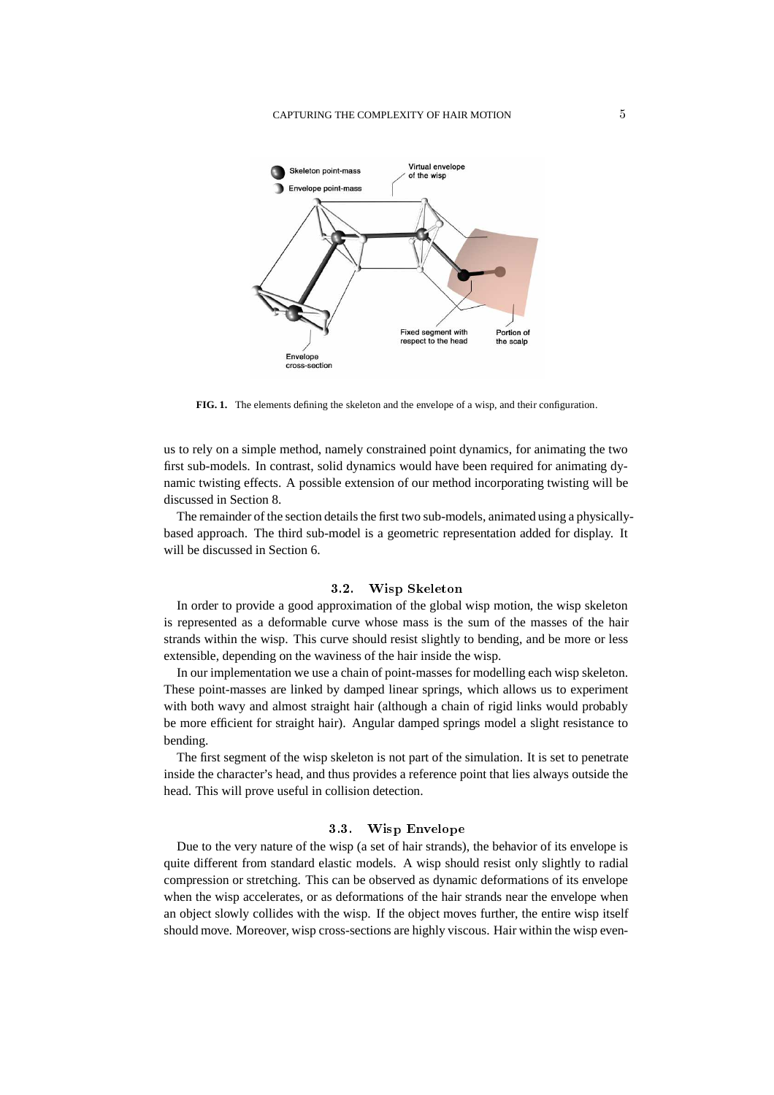

**FIG. 1.** The elements defining the skeleton and the envelope of a wisp, and their configuration.

us to rely on a simple method, namely constrained point dynamics, for animating the two first sub-models. In contrast, solid dynamics would have been required for animating dynamic twisting effects. A possible extension of our method incorporating twisting will be discussed in Section 8.

The remainder of the section details the first two sub-models, animated using a physicallybased approach. The third sub-model is a geometric representation added for display. It will be discussed in Section 6.

# 3.2. Wisp Skeleton

In order to provide a good approximation of the global wisp motion, the wisp skeleton is represented as a deformable curve whose mass is the sum of the masses of the hair strands within the wisp. This curve should resist slightly to bending, and be more or less extensible, depending on the waviness of the hair inside the wisp.

In our implementation we use a chain of point-masses for modelling each wisp skeleton. These point-masses are linked by damped linear springs, which allows us to experiment with both wavy and almost straight hair (although a chain of rigid links would probably be more efficient for straight hair). Angular damped springs model a slight resistance to bending.

The first segment of the wisp skeleton is not part of the simulation. It is set to penetrate inside the character's head, and thus provides a reference point that lies always outside the head. This will prove useful in collision detection.

### 3.3. Wisp Envelope

Due to the very nature of the wisp (a set of hair strands), the behavior of its envelope is quite different from standard elastic models. A wisp should resist only slightly to radial compression or stretching. This can be observed as dynamic deformations of its envelope when the wisp accelerates, or as deformations of the hair strands near the envelope when an object slowly collides with the wisp. If the object moves further, the entire wisp itself should move. Moreover, wisp cross-sections are highly viscous. Hair within the wisp even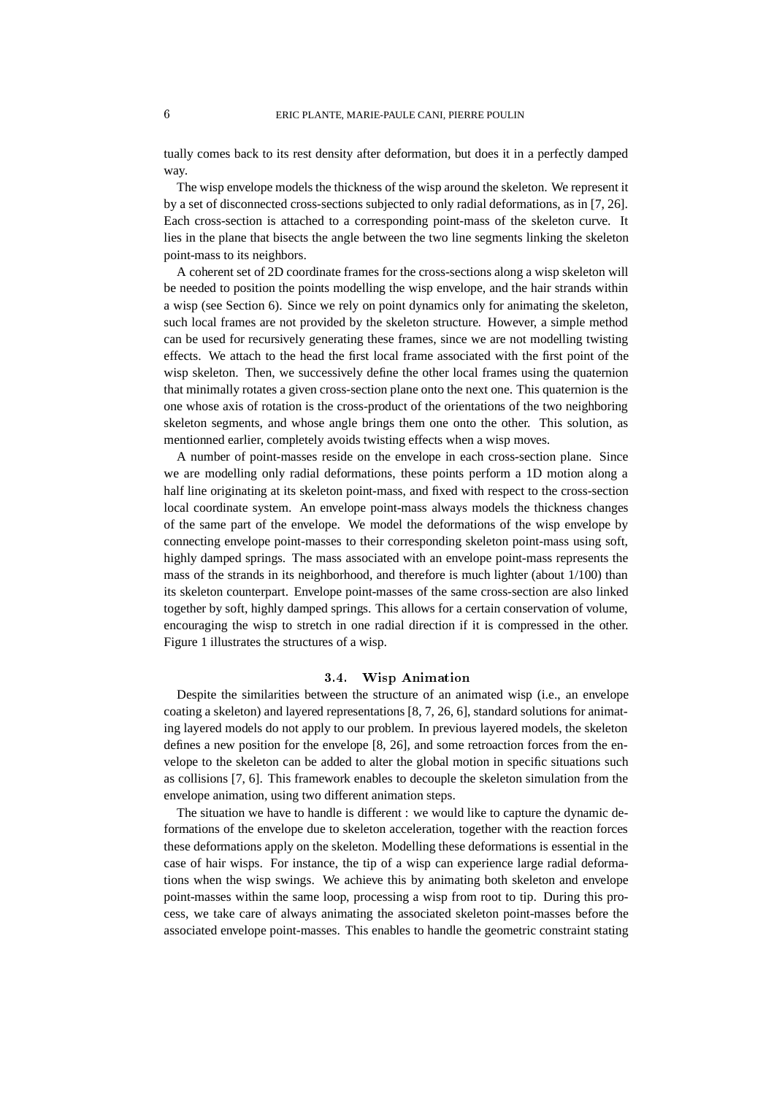tually comes back to its rest density after deformation, but does it in a perfectly damped way.

The wisp envelope models the thickness of the wisp around the skeleton. We represent it by a set of disconnected cross-sections subjected to only radial deformations, as in [7, 26]. Each cross-section is attached to a corresponding point-mass of the skeleton curve. It lies in the plane that bisects the angle between the two line segments linking the skeleton point-mass to its neighbors.

A coherent set of 2D coordinate frames for the cross-sections along a wisp skeleton will be needed to position the points modelling the wisp envelope, and the hair strands within a wisp (see Section 6). Since we rely on point dynamics only for animating the skeleton, such local frames are not provided by the skeleton structure. However, a simple method can be used for recursively generating these frames, since we are not modelling twisting effects. We attach to the head the first local frame associated with the first point of the wisp skeleton. Then, we successively define the other local frames using the quaternion that minimally rotates a given cross-section plane onto the next one. This quaternion is the one whose axis of rotation is the cross-product of the orientations of the two neighboring skeleton segments, and whose angle brings them one onto the other. This solution, as mentionned earlier, completely avoids twisting effects when a wisp moves.

A number of point-masses reside on the envelope in each cross-section plane. Since we are modelling only radial deformations, these points perform a 1D motion along a half line originating at its skeleton point-mass, and fixed with respect to the cross-section local coordinate system. An envelope point-mass always models the thickness changes of the same part of the envelope. We model the deformations of the wisp envelope by connecting envelope point-masses to their corresponding skeleton point-mass using soft, highly damped springs. The mass associated with an envelope point-mass represents the mass of the strands in its neighborhood, and therefore is much lighter (about 1/100) than its skeleton counterpart. Envelope point-masses of the same cross-section are also linked together by soft, highly damped springs. This allows for a certain conservation of volume, encouraging the wisp to stretch in one radial direction if it is compressed in the other. Figure 1 illustrates the structures of a wisp.

### 3.4. Wisp Animation

Despite the similarities between the structure of an animated wisp (i.e., an envelope coating a skeleton) and layered representations [8, 7, 26, 6], standard solutions for animating layered models do not apply to our problem. In previous layered models, the skeleton defines a new position for the envelope [8, 26], and some retroaction forces from the envelope to the skeleton can be added to alter the global motion in specific situations such as collisions [7, 6]. This framework enables to decouple the skeleton simulation from the envelope animation, using two different animation steps.

The situation we have to handle is different : we would like to capture the dynamic deformations of the envelope due to skeleton acceleration, together with the reaction forces these deformations apply on the skeleton. Modelling these deformations is essential in the case of hair wisps. For instance, the tip of a wisp can experience large radial deformations when the wisp swings. We achieve this by animating both skeleton and envelope point-masses within the same loop, processing a wisp from root to tip. During this process, we take care of always animating the associated skeleton point-masses before the associated envelope point-masses. This enables to handle the geometric constraint stating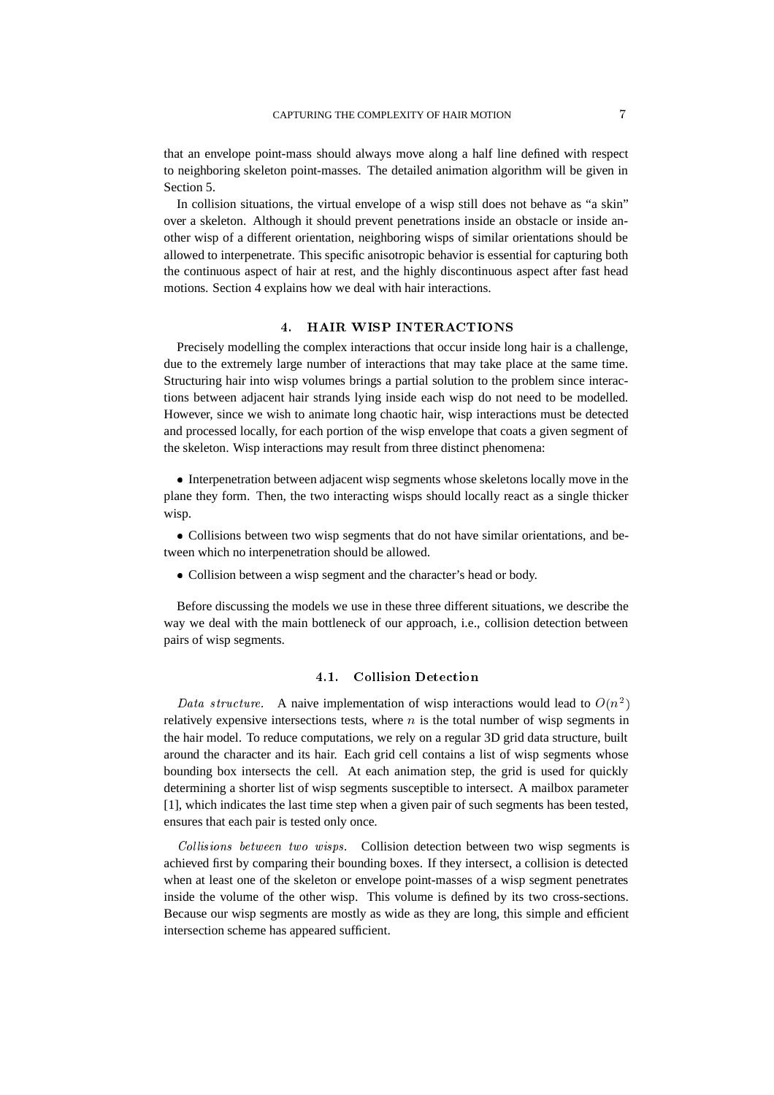that an envelope point-mass should always move along a half line defined with respect to neighboring skeleton point-masses. The detailed animation algorithm will be given in Section 5.

In collision situations, the virtual envelope of a wisp still does not behave as "a skin" over a skeleton. Although it should prevent penetrations inside an obstacle or inside another wisp of a different orientation, neighboring wisps of similar orientations should be allowed to interpenetrate. This specific anisotropic behavior is essential for capturing both the continuous aspect of hair at rest, and the highly discontinuous aspect after fast head motions. Section 4 explains how we deal with hair interactions.

### 4. HAIR WISP INTERACTIONS

Precisely modelling the complex interactions that occur inside long hair is a challenge, due to the extremely large number of interactions that may take place at the same time. Structuring hair into wisp volumes brings a partial solution to the problem since interactions between adjacent hair strands lying inside each wisp do not need to be modelled. However, since we wish to animate long chaotic hair, wisp interactions must be detected and processed locally, for each portion of the wisp envelope that coats a given segment of the skeleton. Wisp interactions may result from three distinct phenomena:

• Interpenetration between adjacent wisp segments whose skeletons locally move in the plane they form. Then, the two interacting wisps should locally react as a single thicker wisp.

 Collisions between two wisp segments that do not have similar orientations, and between which no interpenetration should be allowed.

Collision between a wisp segment and the character's head or body.

Before discussing the models we use in these three different situations, we describe the way we deal with the main bottleneck of our approach, i.e., collision detection between pairs of wisp segments.

### 4.1. Collision Dete
tion

Data structure. A naive implementation of wisp interactions would lead to  $O(n^2)$ relatively expensive intersections tests, where  $n$  is the total number of wisp segments in the hair model. To reduce computations, we rely on a regular 3D grid data structure, built around the character and its hair. Each grid cell contains a list of wisp segments whose bounding box intersects the cell. At each animation step, the grid is used for quickly determining a shorter list of wisp segments susceptible to intersect. A mailbox parameter [1], which indicates the last time step when a given pair of such segments has been tested, ensures that each pair is tested only once.

Collisions between two wisps. Collision detection between two wisp segments is achieved first by comparing their bounding boxes. If they intersect, a collision is detected when at least one of the skeleton or envelope point-masses of a wisp segment penetrates inside the volume of the other wisp. This volume is defined by its two cross-sections. Because our wisp segments are mostly as wide as they are long, this simple and efficient intersection scheme has appeared sufficient.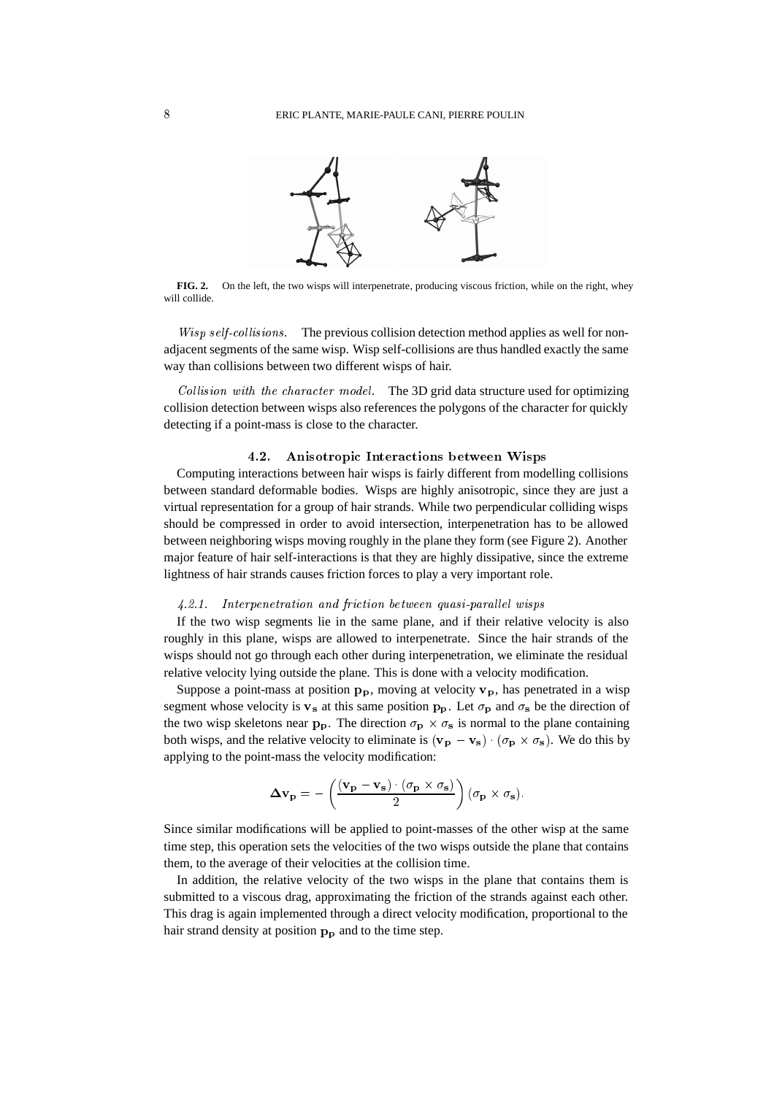

**FIG. 2.** On the left, the two wisps will interpenetrate, producing viscous friction, while on the right, whey will collide.

Wisp self-collisions. The previous collision detection method applies as well for nonadjacent segments of the same wisp. Wisp self-collisions are thus handled exactly the same way than collisions between two different wisps of hair.

Collision with the character model. The 3D grid data structure used for optimizing collision detection between wisps also references the polygons of the character for quickly detecting if a point-mass is close to the character.

### 4.2. Anisotropi Intera
tions between Wisps

Computing interactions between hair wisps is fairly different from modelling collisions between standard deformable bodies. Wisps are highly anisotropic, since they are just a virtual representation for a group of hair strands. While two perpendicular colliding wisps should be compressed in order to avoid intersection, interpenetration has to be allowed between neighboring wisps moving roughly in the plane they form (see Figure 2). Another major feature of hair self-interactions is that they are highly dissipative, since the extreme lightness of hair strands causes friction forces to play a very important role.

#### 4.2.1.Interpenetration and friction between quasi-parallel wisps

If the two wisp segments lie in the same plane, and if their relative velocity is also roughly in this plane, wisps are allowed to interpenetrate. Since the hair strands of the wisps should not go through each other during interpenetration, we eliminate the residual relative velocity lying outside the plane. This is done with a velocity modification.

Suppose a point-mass at position  $p_p$ , moving at velocity  $v_p$ , has penetrated in a wisp segment whose velocity is  $v_s$  at this same position  $p_p$ . Let  $\sigma_p$  and  $\sigma_s$  be the direction of the two wisp skeletons near  $\mathbf{p}_{\rm p}$ . The direction  $\sigma_{\rm p} \times \sigma_{\rm s}$  is normal to the plane containing both wisps, and the relative velocity to eliminate is  $(\mathbf{v_p} - \mathbf{v_s}) \cdot (\sigma_p \times \sigma_s)$ . We do this by applying to the point-mass the velocity modification:

$$
\Delta \mathbf{v_p} = -\left(\frac{(\mathbf{v_p}-\mathbf{v_s})\cdot(\sigma_p\times\sigma_s)}{2}\right) (\sigma_p\times\sigma_s).
$$

Since similar modifications will be applied to point-masses of the other wisp at the same time step, this operation sets the velocities of the two wisps outside the plane that contains them, to the average of their velocities at the collision time.

In addition, the relative velocity of the two wisps in the plane that contains them is submitted to a viscous drag, approximating the friction of the strands against each other. This drag is again implemented through a direct velocity modification, proportional to the hair strand density at position  $\mathbf{p}_{\mathbf{p}}$  and to the time step.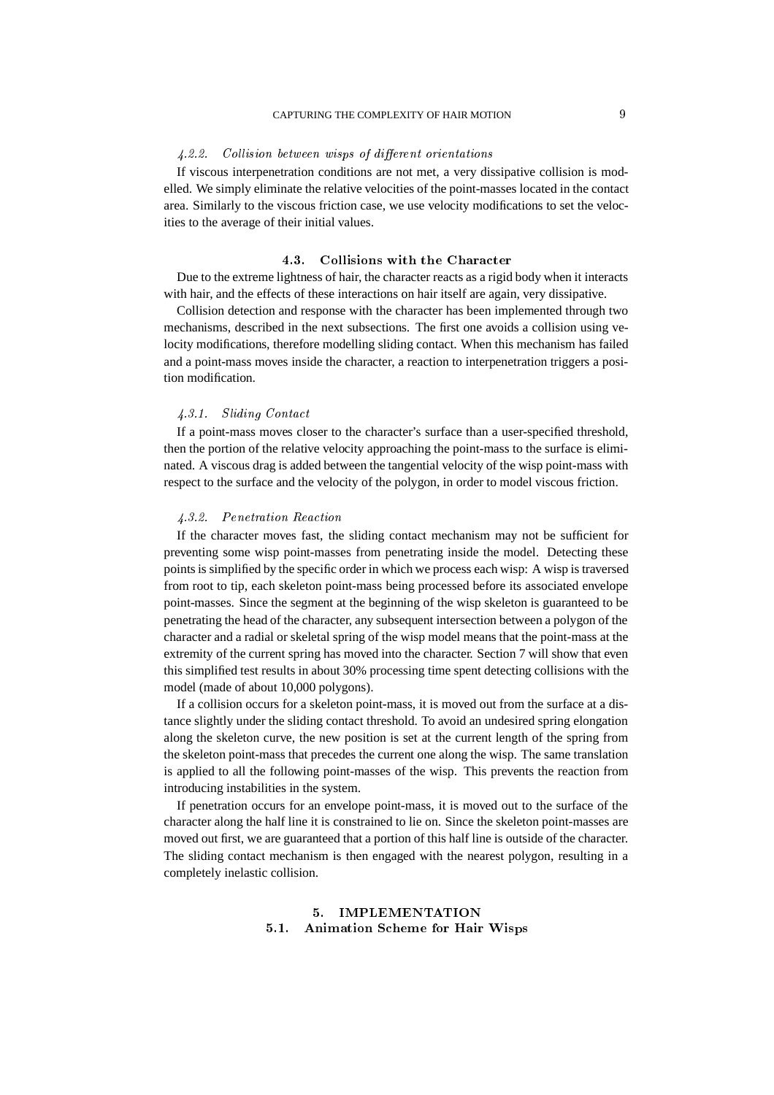#### 4.2.2.Collision between wisps of different orientations

If viscous interpenetration conditions are not met, a very dissipative collision is modelled. We simply eliminate the relative velocities of the point-masses located in the contact area. Similarly to the viscous friction case, we use velocity modifications to set the velocities to the average of their initial values.

### 4.3. Collisions with the Character

Due to the extreme lightness of hair, the character reacts as a rigid body when it interacts with hair, and the effects of these interactions on hair itself are again, very dissipative.

Collision detection and response with the character has been implemented through two mechanisms, described in the next subsections. The first one avoids a collision using velocity modifications, therefore modelling sliding contact. When this mechanism has failed and a point-mass moves inside the character, a reaction to interpenetration triggers a position modification.

### 4.3.1. Sliding Conta
t

If a point-mass moves closer to the character's surface than a user-specified threshold, then the portion of the relative velocity approaching the point-mass to the surface is eliminated. A viscous drag is added between the tangential velocity of the wisp point-mass with respect to the surface and the velocity of the polygon, in order to model viscous friction.

### 4.3.2. Penetration Rea
tion

If the character moves fast, the sliding contact mechanism may not be sufficient for preventing some wisp point-masses from penetrating inside the model. Detecting these points is simplified by the specific order in which we process each wisp: A wisp is traversed from root to tip, each skeleton point-mass being processed before its associated envelope point-masses. Since the segment at the beginning of the wisp skeleton is guaranteed to be penetrating the head of the character, any subsequent intersection between a polygon of the character and a radial or skeletal spring of the wisp model means that the point-mass at the extremity of the current spring has moved into the character. Section 7 will show that even this simplified test results in about 30% processing time spent detecting collisions with the model (made of about 10,000 polygons).

If a collision occurs for a skeleton point-mass, it is moved out from the surface at a distance slightly under the sliding contact threshold. To avoid an undesired spring elongation along the skeleton curve, the new position is set at the current length of the spring from the skeleton point-mass that precedes the current one along the wisp. The same translation is applied to all the following point-masses of the wisp. This prevents the reaction from introducing instabilities in the system.

If penetration occurs for an envelope point-mass, it is moved out to the surface of the character along the half line it is constrained to lie on. Since the skeleton point-masses are moved out first, we are guaranteed that a portion of this half line is outside of the character. The sliding contact mechanism is then engaged with the nearest polygon, resulting in a completely inelastic collision.

#### $5 -$ 5. IMPLEMENTATION 5.1. Animation S
heme for Hair Wisps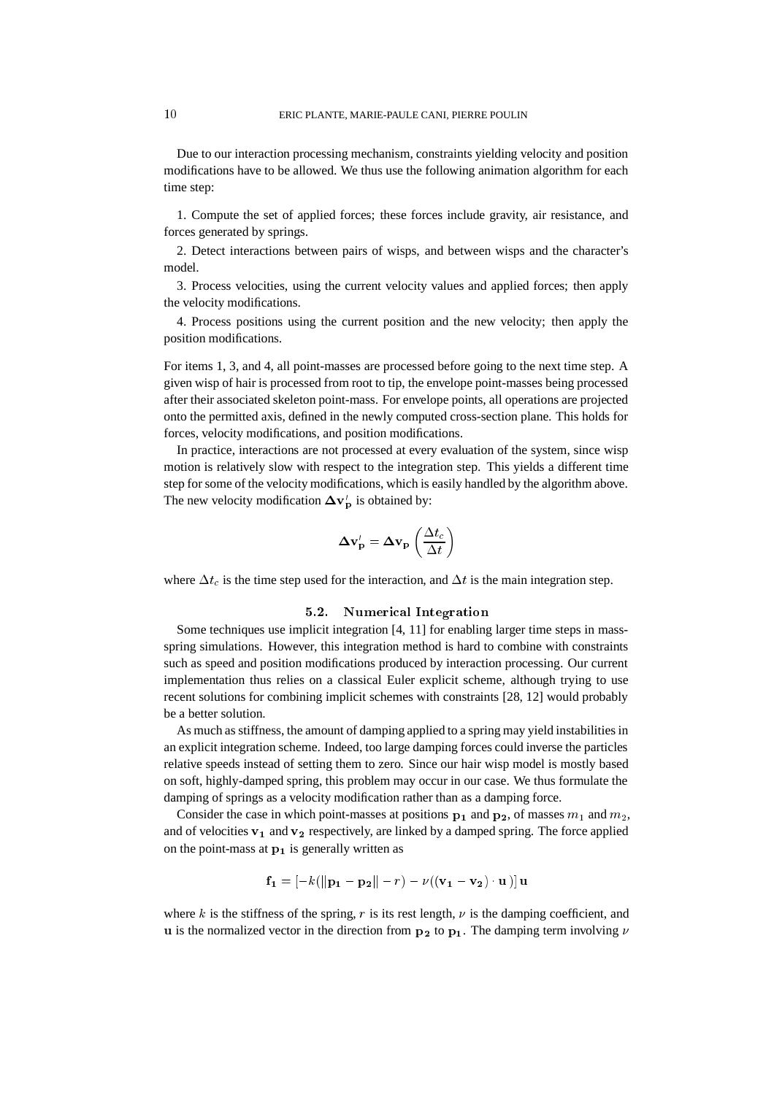Due to our interaction processing mechanism, constraints yielding velocity and position modifications have to be allowed. We thus use the following animation algorithm for each time step:

1. Compute the set of applied forces; these forces include gravity, air resistance, and forces generated by springs.

2. Detect interactions between pairs of wisps, and between wisps and the character's model.

3. Process velocities, using the current velocity values and applied forces; then apply the velocity modifications.

4. Process positions using the current position and the new velocity; then apply the position modifications.

For items 1, 3, and 4, all point-masses are processed before going to the next time step. A given wisp of hair is processed from root to tip, the envelope point-masses being processed after their associated skeleton point-mass. For envelope points, all operations are projected onto the permitted axis, defined in the newly computed cross-section plane. This holds for forces, velocity modifications, and position modifications.

In practice, interactions are not processed at every evaluation of the system, since wisp motion is relatively slow with respect to the integration step. This yields a different time step for some of the velocity modifications, which is easily handled by the algorithm above. The new velocity modification  $\Delta v'_{\rm p}$  is obtained by:

$$
\Delta \mathbf{v}_{\mathbf{p}}' = \Delta \mathbf{v}_{\mathbf{p}} \left( \frac{\Delta t_c}{\Delta t} \right)
$$

where  $\Delta t_c$  is the time step used for the interaction, and  $\Delta t$  is the main integration step.

### 5.2. Numeri
al Integration

Some techniques use implicit integration [4, 11] for enabling larger time steps in massspring simulations. However, this integration method is hard to combine with constraints such as speed and position modifications produced by interaction processing. Our current implementation thus relies on a classical Euler explicit scheme, although trying to use recent solutions for combining implicit schemes with constraints [28, 12] would probably be a better solution.

As much as stiffness, the amount of damping applied to a spring may yield instabilities in an explicit integration scheme. Indeed, too large damping forces could inverse the particles relative speeds instead of setting them to zero. Since our hair wisp model is mostly based on soft, highly-damped spring, this problem may occur in our case. We thus formulate the damping of springs as a velocity modification rather than as a damping force.

Consider the case in which point-masses at positions  $p_1$  and  $p_2$ , of masses  $m_1$  and  $m_2$ , and of velocities  $v_1$  and  $v_2$  respectively, are linked by a damped spring. The force applied on the point-mass at  $p_1$  is generally written as

$$
\mathbf{f_1} = [-k(||\mathbf{p_1} - \mathbf{p_2}|| - r) - \nu((\mathbf{v_1} - \mathbf{v_2}) \cdot \mathbf{u})] \mathbf{u}
$$

where k is the stiffness of the spring, r is its rest length,  $\nu$  is the damping coefficient, and u is the normalized vector in the direction from  $p_2$  to  $p_1$ . The damping term involving  $\nu$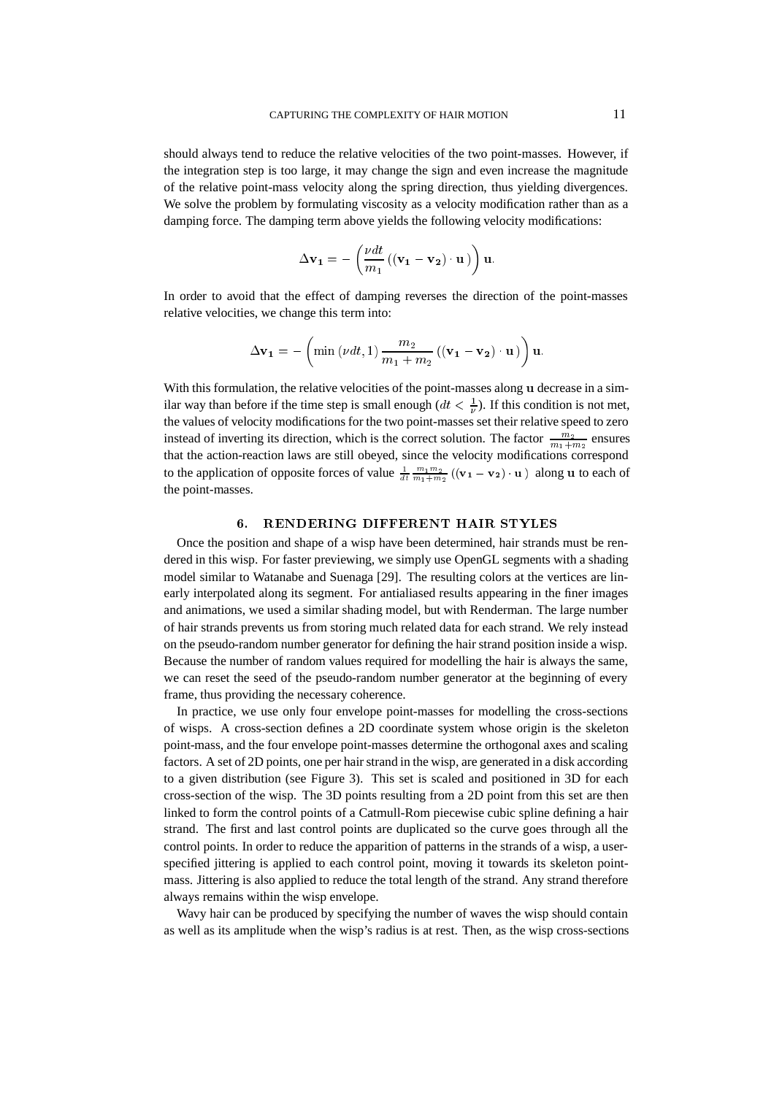should always tend to reduce the relative velocities of the two point-masses. However, if the integration step is too large, it may change the sign and even increase the magnitude of the relative point-mass velocity along the spring direction, thus yielding divergences. We solve the problem by formulating viscosity as a velocity modification rather than as a damping force. The damping term above yields the following velocity modifications:

$$
\Delta \mathbf{v_1} = -\left(\frac{\nu dt}{m_1} \left( (\mathbf{v_1} - \mathbf{v_2}) \cdot \mathbf{u} \right) \right) \mathbf{u}.
$$

In order to avoid that the effect of damping reverses the direction of the point-masses relative velocities, we change this term into:

$$
\Delta \mathbf{v_1} = -\left(\min\left(\nu dt, 1\right) \frac{m_2}{m_1 + m_2} \left((\mathbf{v_1} - \mathbf{v_2}) \cdot \mathbf{u}\right)\right) \mathbf{u}.
$$

With this formulation, the relative velocities of the point-masses along u decrease in a similar way than before if the time step is small enough  $(dt < \frac{1}{u})$ . If this condition is not met, the values of velocity modifications for the two point-masses set their relative speed to zero instead of inverting its direction, which is the correct solution. The factor  $\frac{m_2}{m_1+m_2}$  ensures that the action-reaction laws are still obeyed, since the velocity modifications correspond to the application of opposite forces of value  $\frac{1}{dt} \frac{m_1 m_2}{m_1 + m_2} ((v_1 - v_2) \cdot u)$  along u to each of the point-masses.

#### RENDERING DIFFERENT HAIR STYLES 6.

Once the position and shape of a wisp have been determined, hair strands must be rendered in this wisp. For faster previewing, we simply use OpenGL segments with a shading model similar to Watanabe and Suenaga [29]. The resulting colors at the vertices are linearly interpolated along its segment. For antialiased results appearing in the finer images and animations, we used a similar shading model, but with Renderman. The large number of hair strands prevents us from storing much related data for each strand. We rely instead on the pseudo-random number generator for defining the hair strand position inside a wisp. Because the number of random values required for modelling the hair is always the same, we can reset the seed of the pseudo-random number generator at the beginning of every frame, thus providing the necessary coherence.

In practice, we use only four envelope point-masses for modelling the cross-sections of wisps. A cross-section defines a 2D coordinate system whose origin is the skeleton point-mass, and the four envelope point-masses determine the orthogonal axes and scaling factors. A set of 2D points, one per hair strand in the wisp, are generated in a disk according to a given distribution (see Figure 3). This set is scaled and positioned in 3D for each cross-section of the wisp. The 3D points resulting from a 2D point from this set are then linked to form the control points of a Catmull-Rom piecewise cubic spline defining a hair strand. The first and last control points are duplicated so the curve goes through all the control points. In order to reduce the apparition of patterns in the strands of a wisp, a userspecified jittering is applied to each control point, moving it towards its skeleton pointmass. Jittering is also applied to reduce the total length of the strand. Any strand therefore always remains within the wisp envelope.

Wavy hair can be produced by specifying the number of waves the wisp should contain as well as its amplitude when the wisp's radius is at rest. Then, as the wisp cross-sections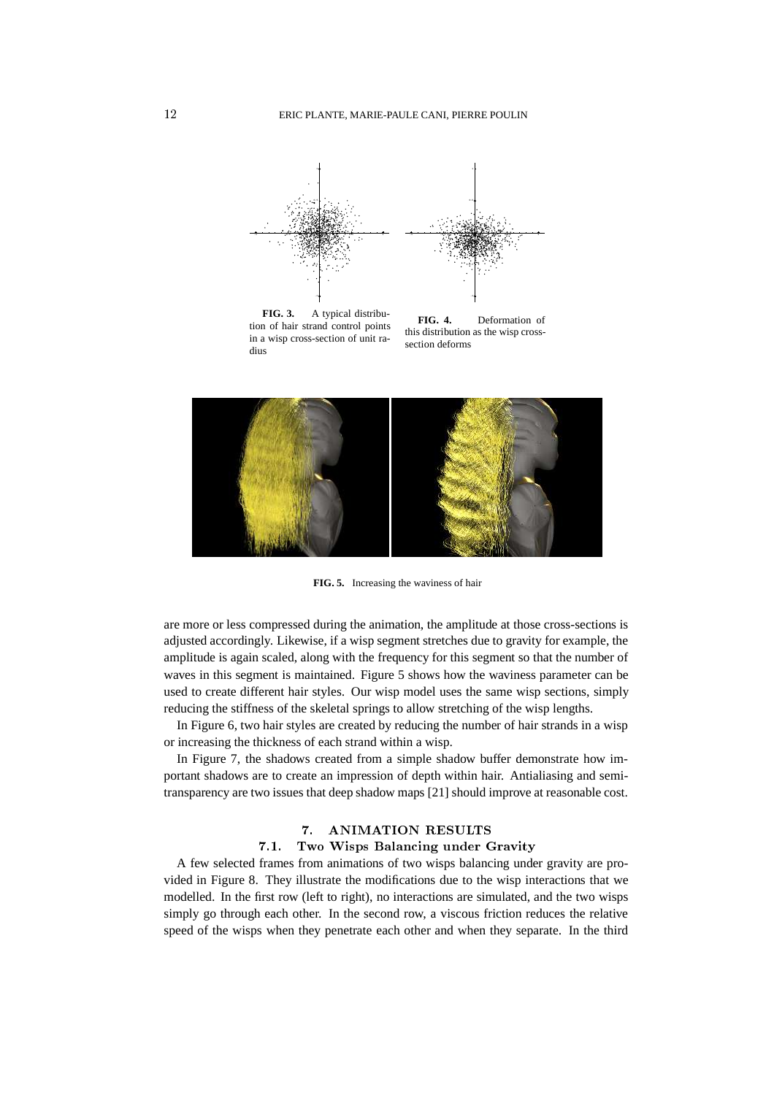

**FIG. 3.** A typical distribution of hair strand control points in a wisp cross-section of unit radius

**FIG. 4.** Deformation of this distribution as the wisp crosssection deforms



**FIG. 5.** Increasing the waviness of hair

are more or less compressed during the animation, the amplitude at those cross-sections is adjusted accordingly. Likewise, if a wisp segment stretches due to gravity for example, the amplitude is again scaled, along with the frequency for this segment so that the number of waves in this segment is maintained. Figure 5 shows how the waviness parameter can be used to create different hair styles. Our wisp model uses the same wisp sections, simply reducing the stiffness of the skeletal springs to allow stretching of the wisp lengths.

In Figure 6, two hair styles are created by reducing the number of hair strands in a wisp or increasing the thickness of each strand within a wisp.

In Figure 7, the shadows created from a simple shadow buffer demonstrate how important shadows are to create an impression of depth within hair. Antialiasing and semitransparency are two issues that deep shadow maps [21] should improve at reasonable cost.

# 7. ANIMATION RESULTS

# 7.1. Two Wisps Balan
ing under Gravity

A few selected frames from animations of two wisps balancing under gravity are provided in Figure 8. They illustrate the modifications due to the wisp interactions that we modelled. In the first row (left to right), no interactions are simulated, and the two wisps simply go through each other. In the second row, a viscous friction reduces the relative speed of the wisps when they penetrate each other and when they separate. In the third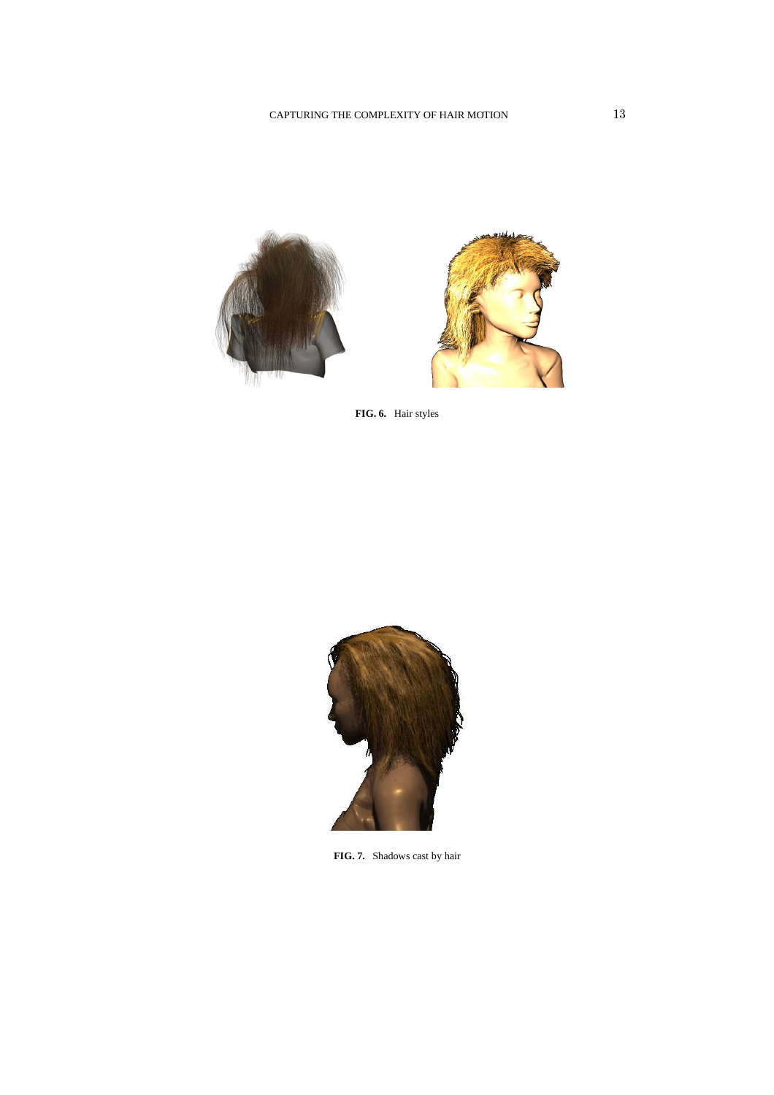



**FIG. 6.** Hair styles



**FIG. 7.** Shadows cast by hair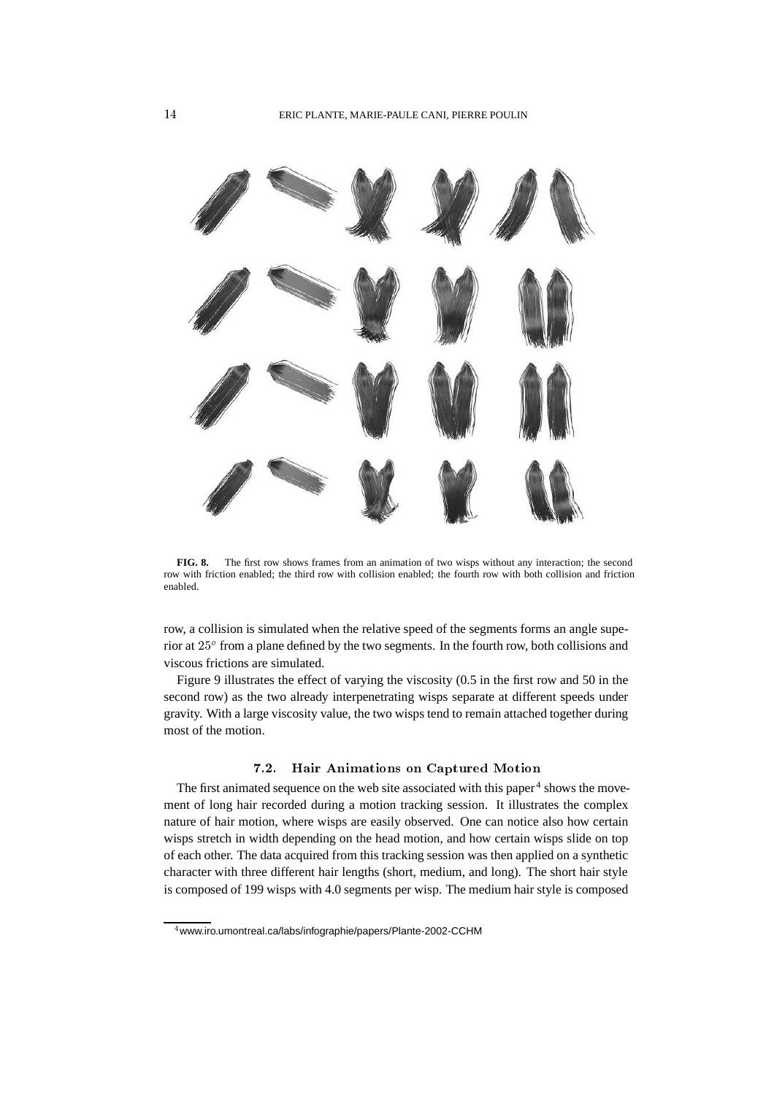

**FIG. 8.** The first row shows frames from an animation of two wisps without any interaction; the second row with friction enabled; the third row with collision enabled; the fourth row with both collision and friction enabled.

row, a collision is simulated when the relative speed of the segments forms an angle superior at  $25^\circ$  from a plane defined by the two segments. In the fourth row, both collisions and viscous frictions are simulated.

Figure 9 illustrates the effect of varying the viscosity (0.5 in the first row and 50 in the second row) as the two already interpenetrating wisps separate at different speeds under gravity. With a large viscosity value, the two wisps tend to remain attached together during most of the motion.

### 7.2. Hair Animations on Captured Motion

The first animated sequence on the web site associated with this paper<sup>4</sup> shows the movement of long hair recorded during a motion tracking session. It illustrates the complex nature of hair motion, where wisps are easily observed. One can notice also how certain wisps stretch in width depending on the head motion, and how certain wisps slide on top of each other. The data acquired from this tracking session was then applied on a synthetic character with three different hair lengths (short, medium, and long). The short hair style is composed of 199 wisps with 4.0 segments per wisp. The medium hair style is composed

<sup>4</sup> www.iro.umontreal.ca/labs/infographie/papers/Plante-2002-CCHM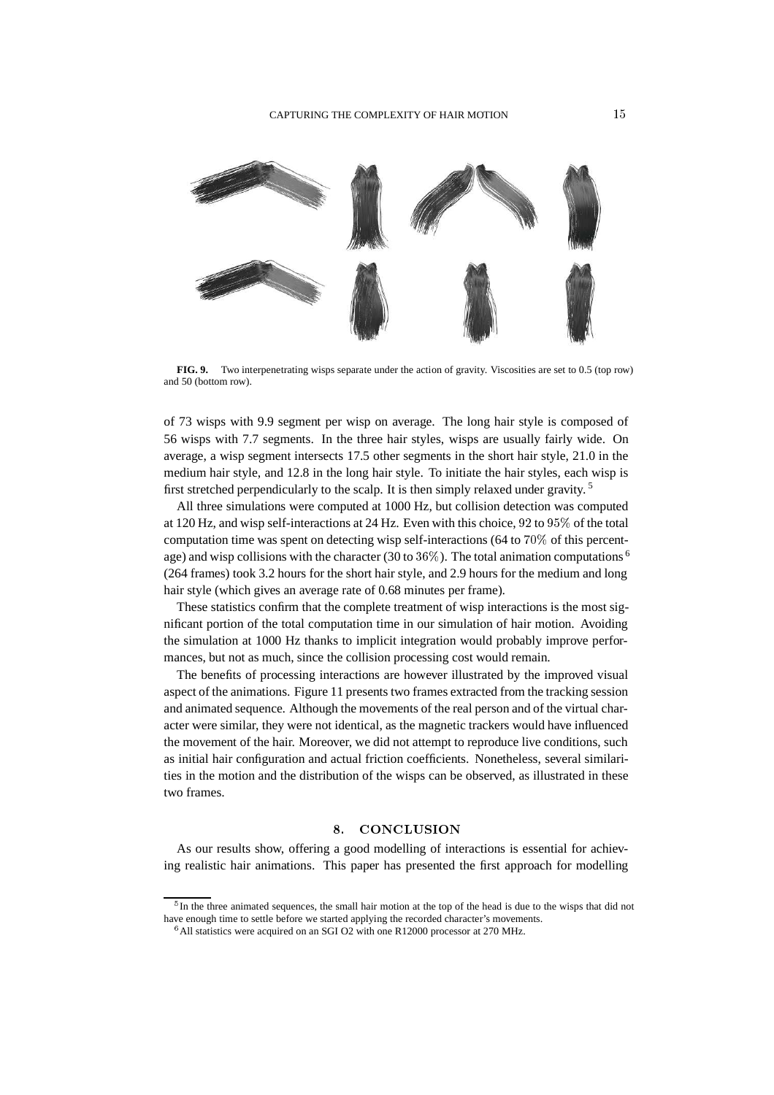

**FIG. 9.** Two interpenetrating wisps separate under the action of gravity. Viscosities are set to 0.5 (top row) and 50 (bottom row).

of 73 wisps with 9.9 segment per wisp on average. The long hair style is composed of 56 wisps with 7.7 segments. In the three hair styles, wisps are usually fairly wide. On average, a wisp segment intersects 17.5 other segments in the short hair style, 21.0 in the medium hair style, and 12.8 in the long hair style. To initiate the hair styles, each wisp is first stretched perpendicularly to the scalp. It is then simply relaxed under gravity. <sup>5</sup>

All three simulations were computed at 1000 Hz, but collision detection was computed at 120 Hz, and wisp self-interactions at 24 Hz. Even with this choice, <sup>92</sup> to 95% of the total computation time was spent on detecting wisp self-interactions (64 to 70% of this percentage) and wisp collisions with the character (30 to 36%). The total animation computations  $<sup>6</sup>$ </sup> (264 frames) took 3.2 hours for the short hair style, and 2.9 hours for the medium and long hair style (which gives an average rate of 0.68 minutes per frame).

These statistics confirm that the complete treatment of wisp interactions is the most significant portion of the total computation time in our simulation of hair motion. Avoiding the simulation at 1000 Hz thanks to implicit integration would probably improve performances, but not as much, since the collision processing cost would remain.

The benefits of processing interactions are however illustrated by the improved visual aspect of the animations. Figure 11 presents two frames extracted from the tracking session and animated sequence. Although the movements of the real person and of the virtual character were similar, they were not identical, as the magnetic trackers would have influenced the movement of the hair. Moreover, we did not attempt to reproduce live conditions, such as initial hair configuration and actual friction coefficients. Nonetheless, several similarities in the motion and the distribution of the wisps can be observed, as illustrated in these two frames.

#### **CONCLUSION** 8.

As our results show, offering a good modelling of interactions is essential for achieving realistic hair animations. This paper has presented the first approach for modelling

<sup>&</sup>lt;sup>5</sup>In the three animated sequences, the small hair motion at the top of the head is due to the wisps that did not have enough time to settle before we started applying the recorded character's movements.

<sup>&</sup>lt;sup>6</sup> All statistics were acquired on an SGI O2 with one R12000 processor at 270 MHz.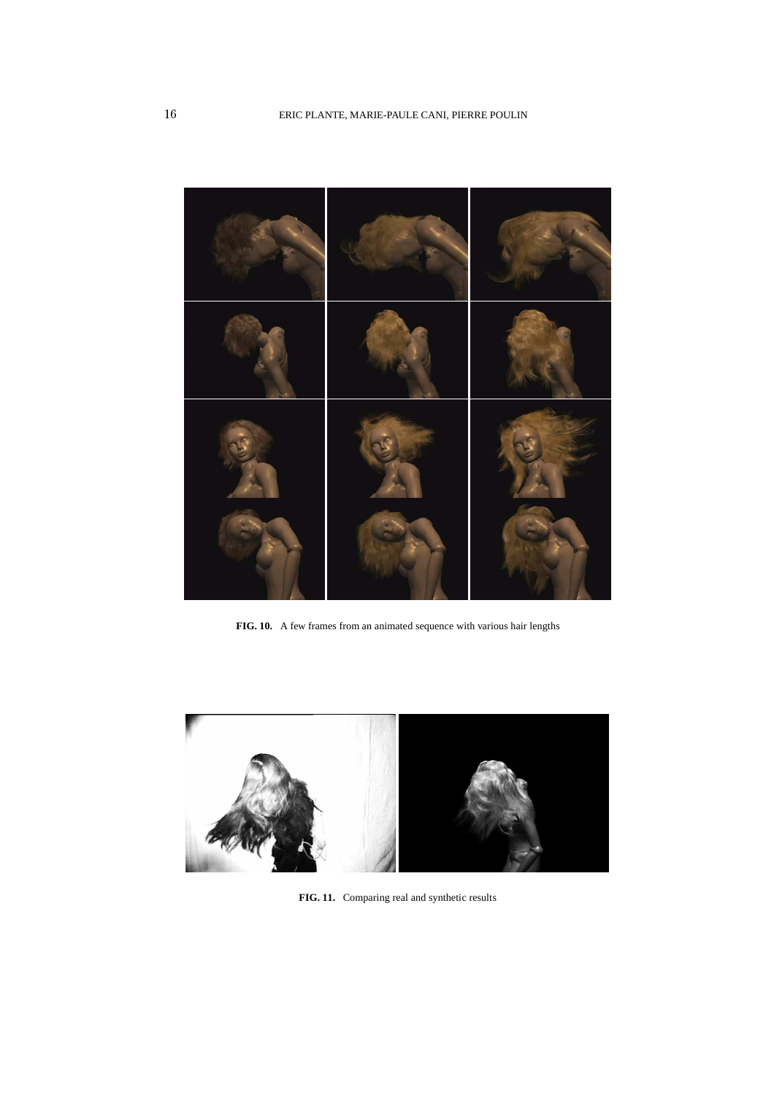

**FIG. 10.** A few frames from an animated sequence with various hair lengths



**FIG. 11.** Comparing real and synthetic results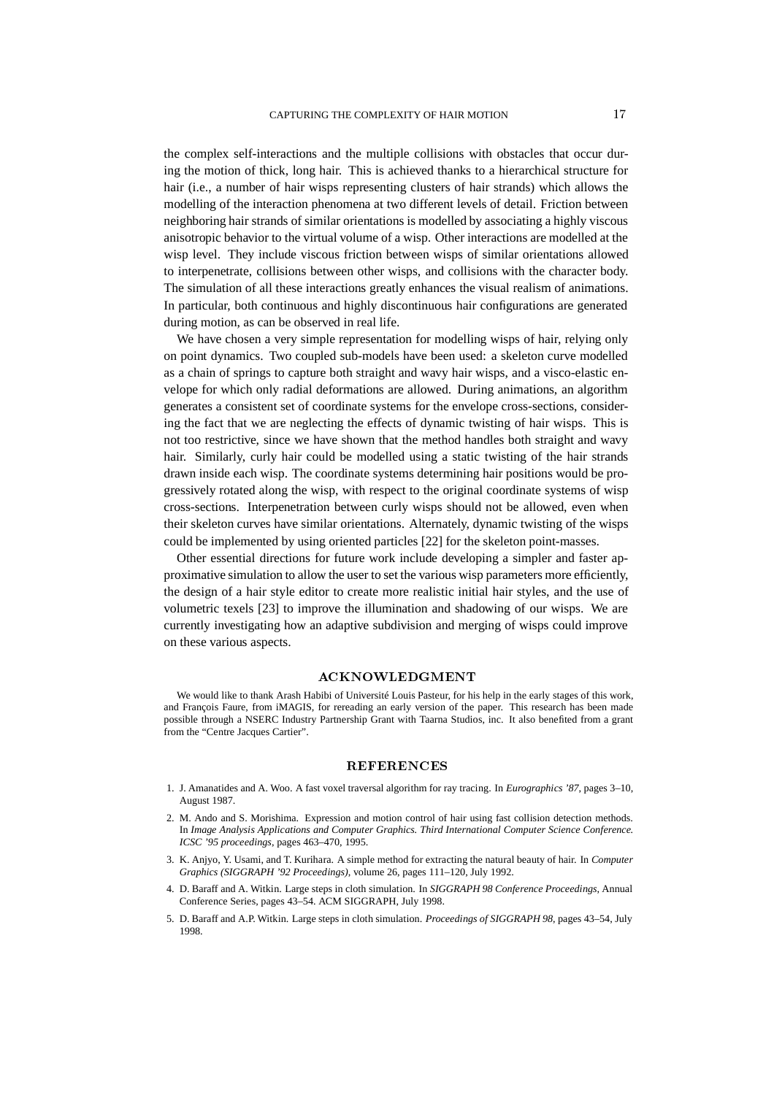the complex self-interactions and the multiple collisions with obstacles that occur during the motion of thick, long hair. This is achieved thanks to a hierarchical structure for hair (i.e., a number of hair wisps representing clusters of hair strands) which allows the modelling of the interaction phenomena at two different levels of detail. Friction between neighboring hair strands of similar orientations is modelled by associating a highly viscous anisotropic behavior to the virtual volume of a wisp. Other interactions are modelled at the wisp level. They include viscous friction between wisps of similar orientations allowed to interpenetrate, collisions between other wisps, and collisions with the character body. The simulation of all these interactions greatly enhances the visual realism of animations. In particular, both continuous and highly discontinuous hair configurations are generated during motion, as can be observed in real life.

We have chosen a very simple representation for modelling wisps of hair, relying only on point dynamics. Two coupled sub-models have been used: a skeleton curve modelled as a chain of springs to capture both straight and wavy hair wisps, and a visco-elastic envelope for which only radial deformations are allowed. During animations, an algorithm generates a consistent set of coordinate systems for the envelope cross-sections, considering the fact that we are neglecting the effects of dynamic twisting of hair wisps. This is not too restrictive, since we have shown that the method handles both straight and wavy hair. Similarly, curly hair could be modelled using a static twisting of the hair strands drawn inside each wisp. The coordinate systems determining hair positions would be progressively rotated along the wisp, with respect to the original coordinate systems of wisp cross-sections. Interpenetration between curly wisps should not be allowed, even when their skeleton curves have similar orientations. Alternately, dynamic twisting of the wisps could be implemented by using oriented particles [22] for the skeleton point-masses.

Other essential directions for future work include developing a simpler and faster approximative simulation to allow the user to set the various wisp parameters more efficiently, the design of a hair style editor to create more realistic initial hair styles, and the use of volumetric texels [23] to improve the illumination and shadowing of our wisps. We are currently investigating how an adaptive subdivision and merging of wisps could improve on these various aspects.

### ACKNOWLEDGMENT

We would like to thank Arash Habibi of Université Louis Pasteur, for his help in the early stages of this work, and François Faure, from iMAGIS, for rereading an early version of the paper. This research has been made possible through a NSERC Industry Partnership Grant with Taarna Studios, inc. It also benefited from a grant from the "Centre Jacques Cartier".

### REFERENCES

- 1. J. Amanatides and A. Woo. A fast voxel traversal algorithm for ray tracing. In *Eurographics '87*, pages 3–10, August 1987.
- 2. M. Ando and S. Morishima. Expression and motion control of hair using fast collision detection methods. In *Image Analysis Applications and Computer Graphics. Third International Computer Science Conference. ICSC '95 proceedings*, pages 463–470, 1995.
- 3. K. Anjyo, Y. Usami, and T. Kurihara. A simple method for extracting the natural beauty of hair. In *Computer Graphics (SIGGRAPH '92 Proceedings)*, volume 26, pages 111–120, July 1992.
- 4. D. Baraff and A. Witkin. Large steps in cloth simulation. In *SIGGRAPH 98 Conference Proceedings*, Annual Conference Series, pages 43–54. ACM SIGGRAPH, July 1998.
- 5. D. Baraff and A.P. Witkin. Large steps in cloth simulation. *Proceedings of SIGGRAPH 98*, pages 43–54, July 1998.